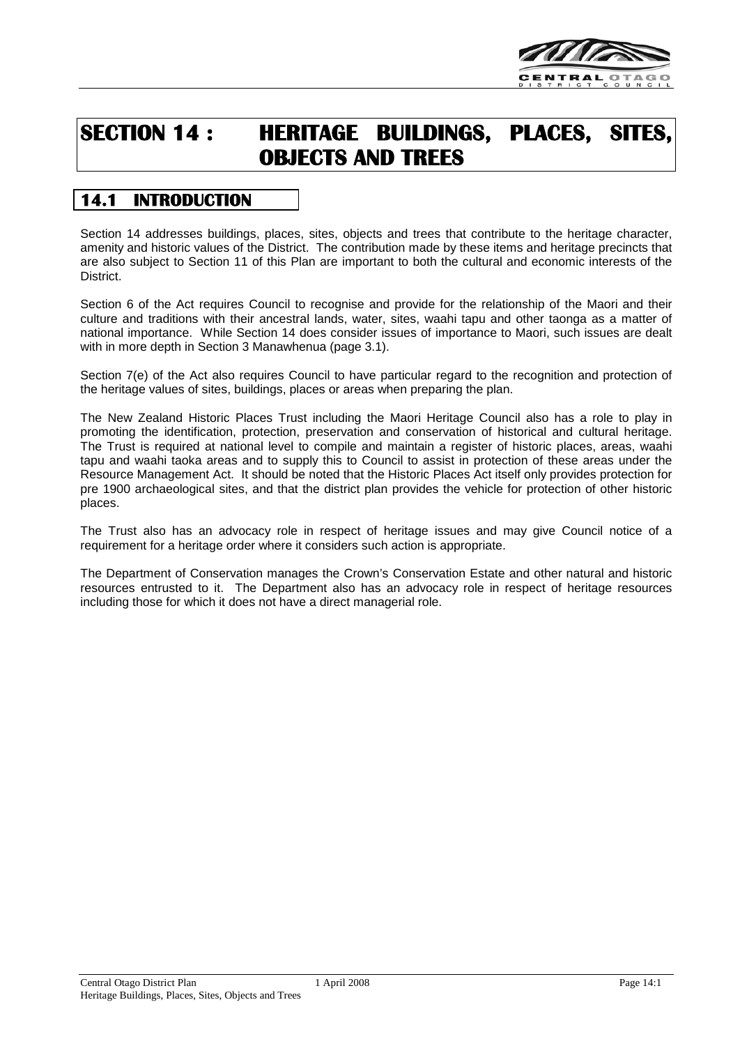

# **SECTION 14 : HERITAGE BUILDINGS, PLACES, SITES, OBJECTS AND TREES**

## **14.1 INTRODUCTION**

Section 14 addresses buildings, places, sites, objects and trees that contribute to the heritage character, amenity and historic values of the District. The contribution made by these items and heritage precincts that are also subject to Section 11 of this Plan are important to both the cultural and economic interests of the District.

Section 6 of the Act requires Council to recognise and provide for the relationship of the Maori and their culture and traditions with their ancestral lands, water, sites, waahi tapu and other taonga as a matter of national importance. While Section 14 does consider issues of importance to Maori, such issues are dealt with in more depth in Section 3 Manawhenua (page 3.1).

Section 7(e) of the Act also requires Council to have particular regard to the recognition and protection of the heritage values of sites, buildings, places or areas when preparing the plan.

The New Zealand Historic Places Trust including the Maori Heritage Council also has a role to play in promoting the identification, protection, preservation and conservation of historical and cultural heritage. The Trust is required at national level to compile and maintain a register of historic places, areas, waahi tapu and waahi taoka areas and to supply this to Council to assist in protection of these areas under the Resource Management Act. It should be noted that the Historic Places Act itself only provides protection for pre 1900 archaeological sites, and that the district plan provides the vehicle for protection of other historic places.

The Trust also has an advocacy role in respect of heritage issues and may give Council notice of a requirement for a heritage order where it considers such action is appropriate.

The Department of Conservation manages the Crown's Conservation Estate and other natural and historic resources entrusted to it. The Department also has an advocacy role in respect of heritage resources including those for which it does not have a direct managerial role.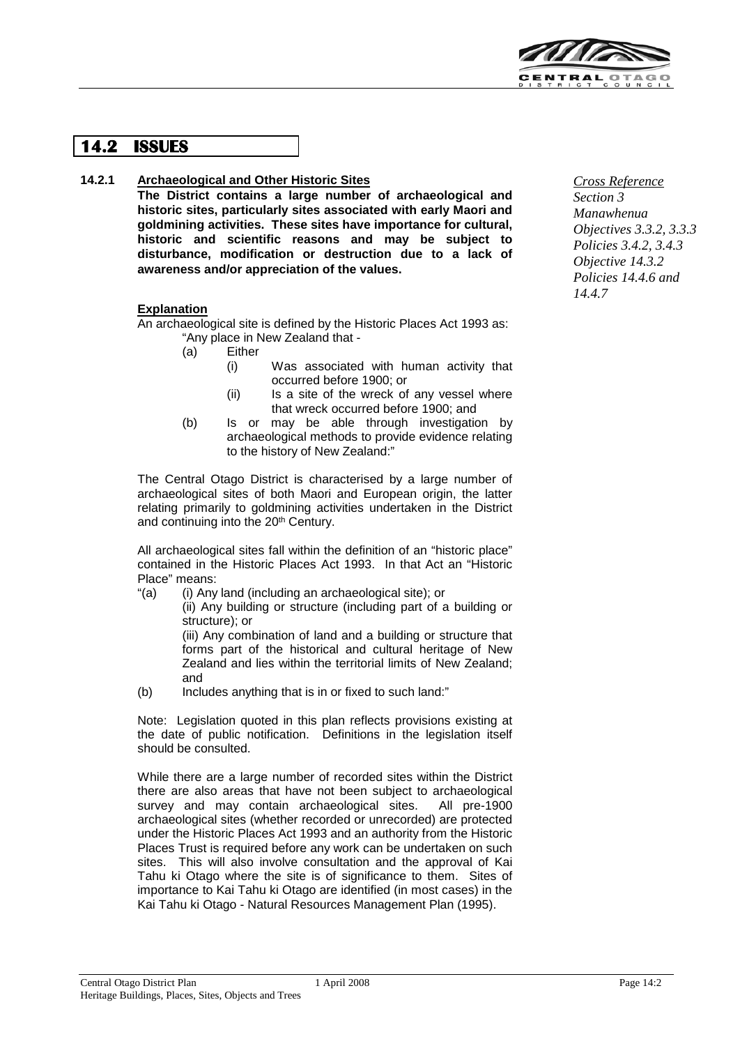

## **14.2 ISSUES**

#### **14.2.1 Archaeological and Other Historic Sites**

**The District contains a large number of archaeological and historic sites, particularly sites associated with early Maori and goldmining activities. These sites have importance for cultural, historic and scientific reasons and may be subject to disturbance, modification or destruction due to a lack of awareness and/or appreciation of the values.**

#### **Explanation**

An archaeological site is defined by the Historic Places Act 1993 as: "Any place in New Zealand that -

- (a) Either
	- (i) Was associated with human activity that occurred before 1900; or
	- (ii) Is a site of the wreck of any vessel where that wreck occurred before 1900; and
- (b) Is or may be able through investigation by archaeological methods to provide evidence relating to the history of New Zealand:"

The Central Otago District is characterised by a large number of archaeological sites of both Maori and European origin, the latter relating primarily to goldmining activities undertaken in the District and continuing into the 20<sup>th</sup> Century.

All archaeological sites fall within the definition of an "historic place" contained in the Historic Places Act 1993. In that Act an "Historic Place" means:

"(a) (i) Any land (including an archaeological site); or

(ii) Any building or structure (including part of a building or structure); or

(iii) Any combination of land and a building or structure that forms part of the historical and cultural heritage of New Zealand and lies within the territorial limits of New Zealand; and

(b) Includes anything that is in or fixed to such land:"

Note: Legislation quoted in this plan reflects provisions existing at the date of public notification. Definitions in the legislation itself should be consulted.

While there are a large number of recorded sites within the District there are also areas that have not been subject to archaeological survey and may contain archaeological sites. All pre-1900 archaeological sites (whether recorded or unrecorded) are protected under the Historic Places Act 1993 and an authority from the Historic Places Trust is required before any work can be undertaken on such sites. This will also involve consultation and the approval of Kai Tahu ki Otago where the site is of significance to them. Sites of importance to Kai Tahu ki Otago are identified (in most cases) in the Kai Tahu ki Otago - Natural Resources Management Plan (1995).

*Cross Reference Section 3 Manawhenua Objectives 3.3.2, 3.3.3 Policies 3.4.2, 3.4.3 Objective 14.3.2 Policies 14.4.6 and 14.4.7*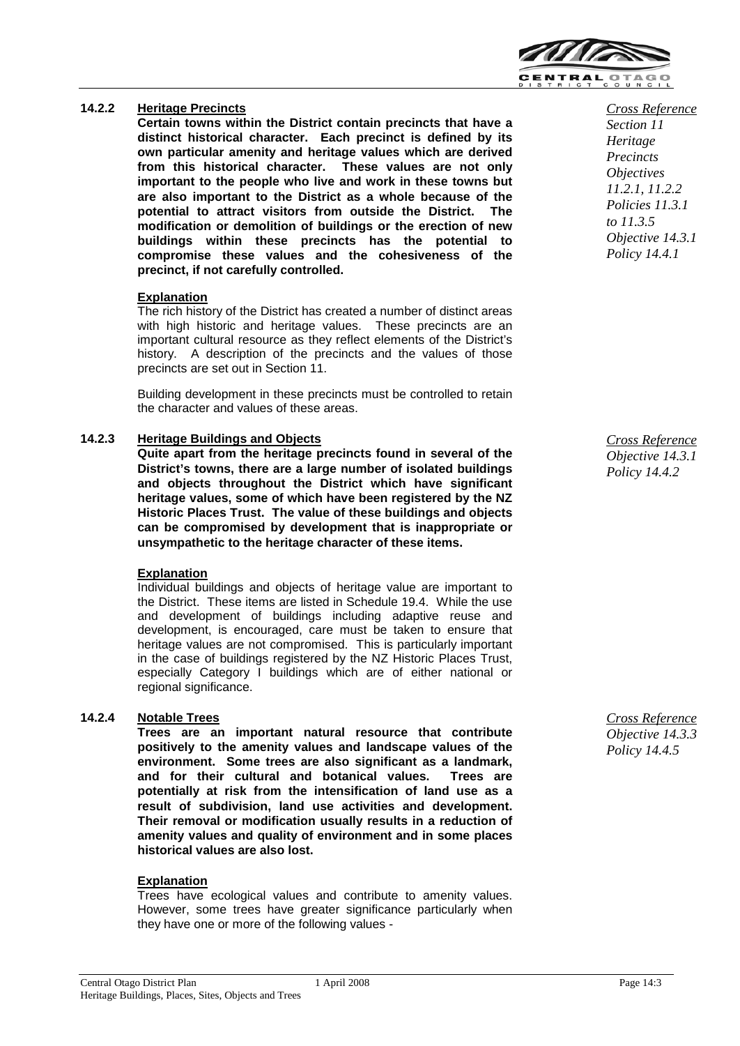

### **14.2.2 Heritage Precincts**

**Certain towns within the District contain precincts that have a distinct historical character. Each precinct is defined by its own particular amenity and heritage values which are derived from this historical character. These values are not only important to the people who live and work in these towns but are also important to the District as a whole because of the potential to attract visitors from outside the District. The modification or demolition of buildings or the erection of new buildings within these precincts has the potential to compromise these values and the cohesiveness of the precinct, if not carefully controlled.**

#### **Explanation**

The rich history of the District has created a number of distinct areas with high historic and heritage values. These precincts are an important cultural resource as they reflect elements of the District's history. A description of the precincts and the values of those precincts are set out in Section 11.

Building development in these precincts must be controlled to retain the character and values of these areas.

#### **14.2.3 Heritage Buildings and Objects**

**Quite apart from the heritage precincts found in several of the District's towns, there are a large number of isolated buildings and objects throughout the District which have significant heritage values, some of which have been registered by the NZ Historic Places Trust. The value of these buildings and objects can be compromised by development that is inappropriate or unsympathetic to the heritage character of these items.**

#### **Explanation**

Individual buildings and objects of heritage value are important to the District. These items are listed in Schedule 19.4. While the use and development of buildings including adaptive reuse and development, is encouraged, care must be taken to ensure that heritage values are not compromised. This is particularly important in the case of buildings registered by the NZ Historic Places Trust, especially Category I buildings which are of either national or regional significance.

## **14.2.4 Notable Trees**

**Trees are an important natural resource that contribute positively to the amenity values and landscape values of the environment. Some trees are also significant as a landmark, and for their cultural and botanical values. Trees are potentially at risk from the intensification of land use as a result of subdivision, land use activities and development. Their removal or modification usually results in a reduction of amenity values and quality of environment and in some places historical values are also lost.**

#### **Explanation**

Trees have ecological values and contribute to amenity values. However, some trees have greater significance particularly when they have one or more of the following values -

*Cross Reference Section 11 Heritage Precincts Objectives 11.2.1, 11.2.2 Policies 11.3.1 to 11.3.5 Objective 14.3.1 Policy 14.4.1*

*Cross Reference Objective 14.3.1 Policy 14.4.2*

*Cross Reference Objective 14.3.3 Policy 14.4.5*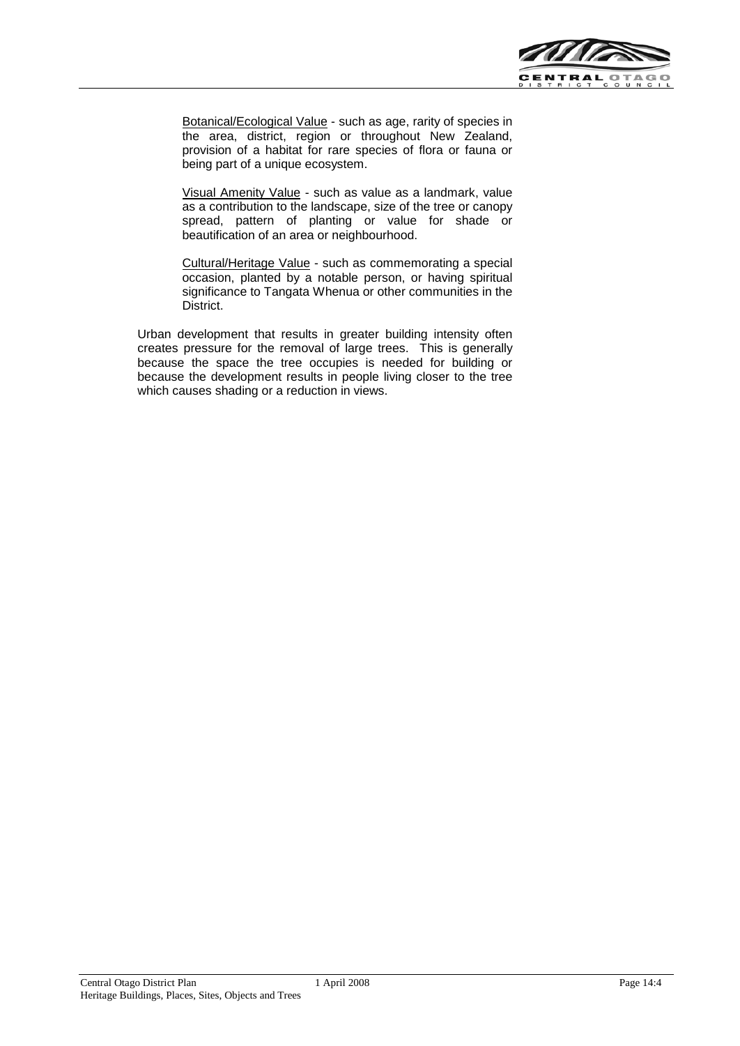

Botanical/Ecological Value - such as age, rarity of species in the area, district, region or throughout New Zealand, provision of a habitat for rare species of flora or fauna or being part of a unique ecosystem.

Visual Amenity Value - such as value as a landmark, value as a contribution to the landscape, size of the tree or canopy spread, pattern of planting or value for shade or beautification of an area or neighbourhood.

Cultural/Heritage Value - such as commemorating a special occasion, planted by a notable person, or having spiritual significance to Tangata Whenua or other communities in the District.

Urban development that results in greater building intensity often creates pressure for the removal of large trees. This is generally because the space the tree occupies is needed for building or because the development results in people living closer to the tree which causes shading or a reduction in views.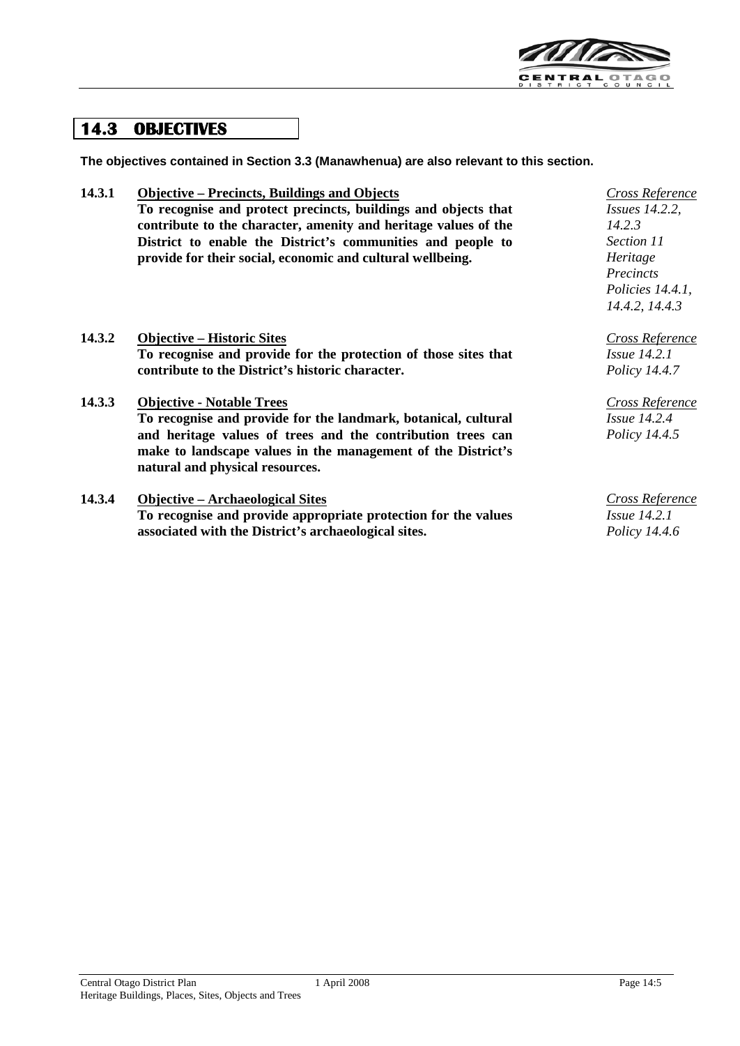

## **14.3 OBJECTIVES**

**The objectives contained in Section 3.3 (Manawhenua) are also relevant to this section.**

| 14.3.1 | <b>Objective – Precincts, Buildings and Objects</b><br>To recognise and protect precincts, buildings and objects that<br>contribute to the character, amenity and heritage values of the<br>District to enable the District's communities and people to<br>provide for their social, economic and cultural wellbeing. | Cross Reference<br><i>Issues 14.2.2,</i><br>14.2.3<br>Section 11<br>Heritage<br>Precincts<br>Policies 14.4.1,<br>14.4.2, 14.4.3 |
|--------|-----------------------------------------------------------------------------------------------------------------------------------------------------------------------------------------------------------------------------------------------------------------------------------------------------------------------|---------------------------------------------------------------------------------------------------------------------------------|
| 14.3.2 | <b>Objective – Historic Sites</b><br>To recognise and provide for the protection of those sites that<br>contribute to the District's historic character.                                                                                                                                                              | Cross Reference<br><i>Issue</i> 14.2.1<br>Policy 14.4.7                                                                         |
| 14.3.3 | <b>Objective - Notable Trees</b><br>To recognise and provide for the landmark, botanical, cultural<br>and heritage values of trees and the contribution trees can<br>make to landscape values in the management of the District's<br>natural and physical resources.                                                  | Cross Reference<br>$Is5$ <i>Issue</i> 14.2.4<br><i>Policy 14.4.5</i>                                                            |
| 14.3.4 | <b>Objective – Archaeological Sites</b><br>To recognise and provide appropriate protection for the values                                                                                                                                                                                                             | Cross Reference<br><i>Issue</i> 14.2.1                                                                                          |

**To recognise and provide appropriate protection for the values associated with the District's archaeological sites.**

*Policy 14.4.6*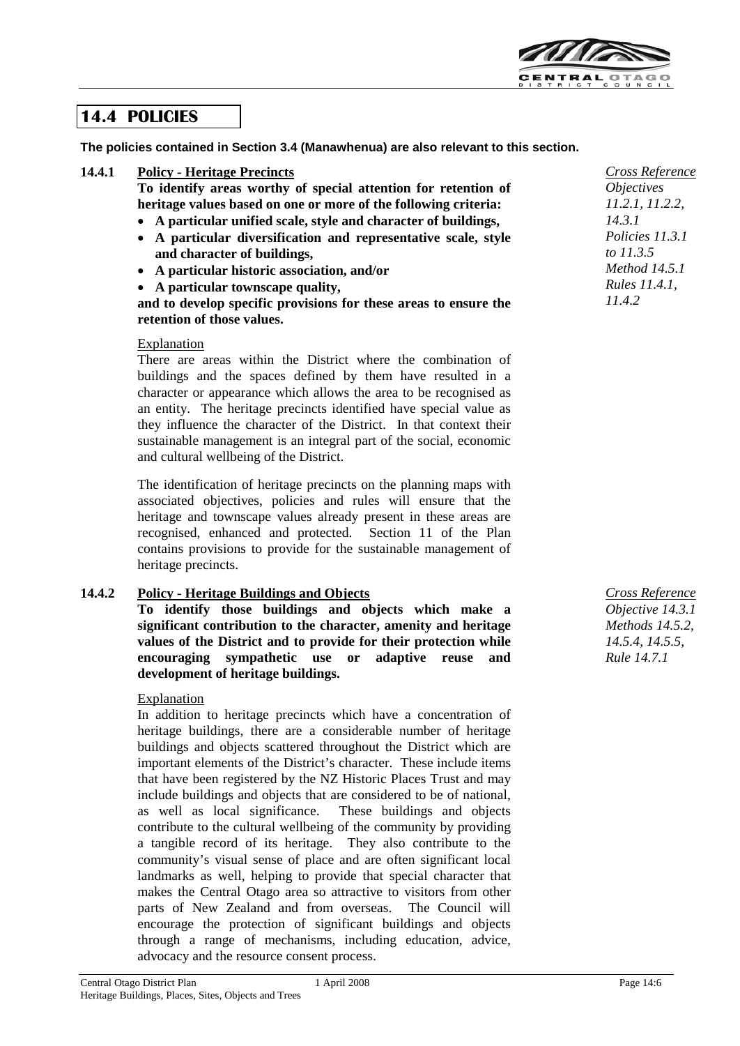

## **14.4 POLICIES**

**The policies contained in Section 3.4 (Manawhenua) are also relevant to this section.**

### **14.4.1 Policy - Heritage Precincts**

**To identify areas worthy of special attention for retention of heritage values based on one or more of the following criteria:**

- **A particular unified scale, style and character of buildings,**
- **A particular diversification and representative scale, style and character of buildings,**
- **A particular historic association, and/or**

• **A particular townscape quality,**

**and to develop specific provisions for these areas to ensure the retention of those values.**

#### Explanation

There are areas within the District where the combination of buildings and the spaces defined by them have resulted in a character or appearance which allows the area to be recognised as an entity. The heritage precincts identified have special value as they influence the character of the District. In that context their sustainable management is an integral part of the social, economic and cultural wellbeing of the District.

The identification of heritage precincts on the planning maps with associated objectives, policies and rules will ensure that the heritage and townscape values already present in these areas are recognised, enhanced and protected. Section 11 of the Plan contains provisions to provide for the sustainable management of heritage precincts.

### **14.4.2 Policy - Heritage Buildings and Objects**

**To identify those buildings and objects which make a significant contribution to the character, amenity and heritage values of the District and to provide for their protection while encouraging sympathetic use or adaptive reuse and development of heritage buildings.**

#### **Explanation**

In addition to heritage precincts which have a concentration of heritage buildings, there are a considerable number of heritage buildings and objects scattered throughout the District which are important elements of the District's character. These include items that have been registered by the NZ Historic Places Trust and may include buildings and objects that are considered to be of national, as well as local significance. These buildings and objects contribute to the cultural wellbeing of the community by providing a tangible record of its heritage. They also contribute to the community's visual sense of place and are often significant local landmarks as well, helping to provide that special character that makes the Central Otago area so attractive to visitors from other parts of New Zealand and from overseas. The Council will encourage the protection of significant buildings and objects through a range of mechanisms, including education, advice, advocacy and the resource consent process.

*Cross Reference Objective 14.3.1 Methods 14.5.2, 14.5.4, 14.5.5, Rule 14.7.1*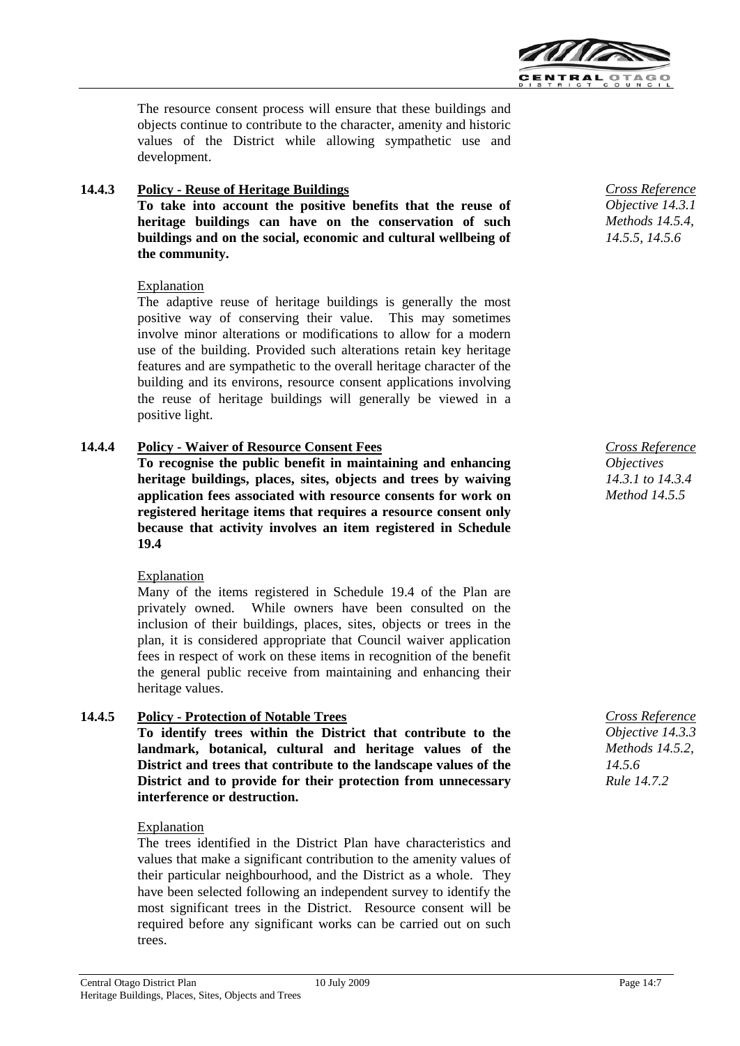

The resource consent process will ensure that these buildings and objects continue to contribute to the character, amenity and historic values of the District while allowing sympathetic use and development.

## **14.4.3 Policy - Reuse of Heritage Buildings**

**To take into account the positive benefits that the reuse of heritage buildings can have on the conservation of such buildings and on the social, economic and cultural wellbeing of the community.**

## Explanation

The adaptive reuse of heritage buildings is generally the most positive way of conserving their value. This may sometimes involve minor alterations or modifications to allow for a modern use of the building. Provided such alterations retain key heritage features and are sympathetic to the overall heritage character of the building and its environs, resource consent applications involving the reuse of heritage buildings will generally be viewed in a positive light.

## **14.4.4 Policy - Waiver of Resource Consent Fees**

**To recognise the public benefit in maintaining and enhancing heritage buildings, places, sites, objects and trees by waiving application fees associated with resource consents for work on registered heritage items that requires a resource consent only because that activity involves an item registered in Schedule 19.4**

#### Explanation

Many of the items registered in Schedule 19.4 of the Plan are privately owned. While owners have been consulted on the inclusion of their buildings, places, sites, objects or trees in the plan, it is considered appropriate that Council waiver application fees in respect of work on these items in recognition of the benefit the general public receive from maintaining and enhancing their heritage values.

## **14.4.5 Policy - Protection of Notable Trees**

**To identify trees within the District that contribute to the landmark, botanical, cultural and heritage values of the District and trees that contribute to the landscape values of the District and to provide for their protection from unnecessary interference or destruction.**

#### Explanation

The trees identified in the District Plan have characteristics and values that make a significant contribution to the amenity values of their particular neighbourhood, and the District as a whole. They have been selected following an independent survey to identify the most significant trees in the District. Resource consent will be required before any significant works can be carried out on such trees.

*Cross Reference Objective 14.3.1 Methods 14.5.4, 14.5.5, 14.5.6*

*Cross Reference Objectives 14.3.1 to 14.3.4 Method 14.5.5*

*Cross Reference Objective 14.3.3 Methods 14.5.2, 14.5.6 Rule 14.7.2*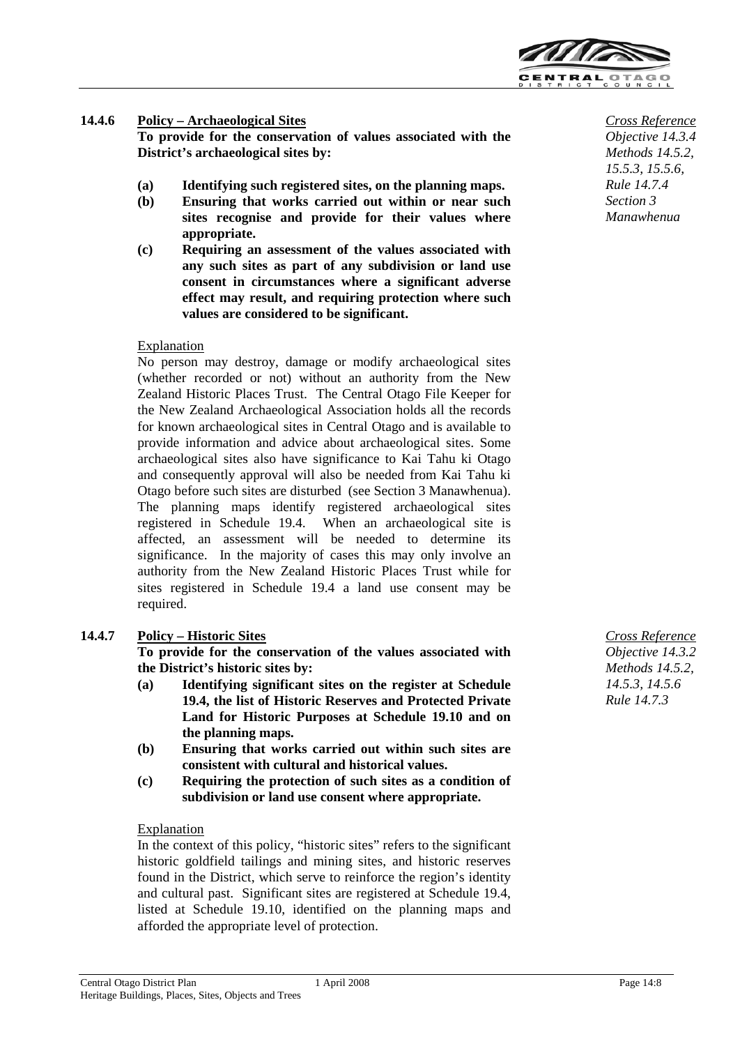

## **14.4.6 Policy – Archaeological Sites**

**To provide for the conservation of values associated with the District's archaeological sites by:**

- **(a) Identifying such registered sites, on the planning maps.**
- **(b) Ensuring that works carried out within or near such sites recognise and provide for their values where appropriate.**
- **(c) Requiring an assessment of the values associated with any such sites as part of any subdivision or land use consent in circumstances where a significant adverse effect may result, and requiring protection where such values are considered to be significant.**

#### Explanation

No person may destroy, damage or modify archaeological sites (whether recorded or not) without an authority from the New Zealand Historic Places Trust. The Central Otago File Keeper for the New Zealand Archaeological Association holds all the records for known archaeological sites in Central Otago and is available to provide information and advice about archaeological sites. Some archaeological sites also have significance to Kai Tahu ki Otago and consequently approval will also be needed from Kai Tahu ki Otago before such sites are disturbed (see Section 3 Manawhenua). The planning maps identify registered archaeological sites registered in Schedule 19.4. When an archaeological site is affected, an assessment will be needed to determine its significance. In the majority of cases this may only involve an authority from the New Zealand Historic Places Trust while for sites registered in Schedule 19.4 a land use consent may be required.

### **14.4.7 Policy – Historic Sites**

**To provide for the conservation of the values associated with the District's historic sites by:**

- **(a) Identifying significant sites on the register at Schedule 19.4, the list of Historic Reserves and Protected Private Land for Historic Purposes at Schedule 19.10 and on the planning maps.**
- **(b) Ensuring that works carried out within such sites are consistent with cultural and historical values.**
- **(c) Requiring the protection of such sites as a condition of subdivision or land use consent where appropriate.**

#### Explanation

In the context of this policy, "historic sites" refers to the significant historic goldfield tailings and mining sites, and historic reserves found in the District, which serve to reinforce the region's identity and cultural past. Significant sites are registered at Schedule 19.4, listed at Schedule 19.10, identified on the planning maps and afforded the appropriate level of protection.

*Cross Reference Objective 14.3.4 Methods 14.5.2, 15.5.3, 15.5.6, Rule 14.7.4 Section 3 Manawhenua*

*Cross Reference Objective 14.3.2 Methods 14.5.2, 14.5.3, 14.5.6 Rule 14.7.3*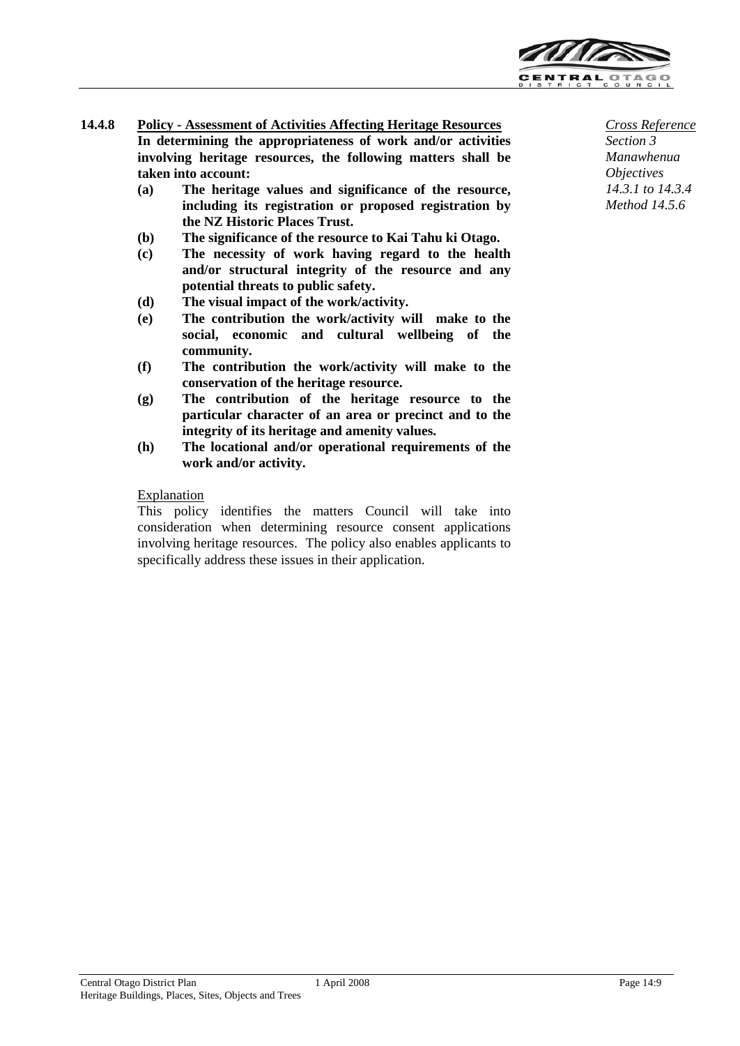

- **14.4.8 Policy - Assessment of Activities Affecting Heritage Resources In determining the appropriateness of work and/or activities involving heritage resources, the following matters shall be taken into account:**
	- **(a) The heritage values and significance of the resource, including its registration or proposed registration by the NZ Historic Places Trust.**
	- **(b) The significance of the resource to Kai Tahu ki Otago.**
	- **(c) The necessity of work having regard to the health and/or structural integrity of the resource and any potential threats to public safety.**
	- **(d) The visual impact of the work/activity.**
	- **(e) The contribution the work/activity will make to the social, economic and cultural wellbeing of the community.**
	- **(f) The contribution the work/activity will make to the conservation of the heritage resource.**
	- **(g) The contribution of the heritage resource to the particular character of an area or precinct and to the integrity of its heritage and amenity values.**
	- **(h) The locational and/or operational requirements of the work and/or activity.**

### **Explanation**

This policy identifies the matters Council will take into consideration when determining resource consent applications involving heritage resources. The policy also enables applicants to specifically address these issues in their application.

*Cross Reference Section 3 Manawhenua Objectives 14.3.1 to 14.3.4 Method 14.5.6*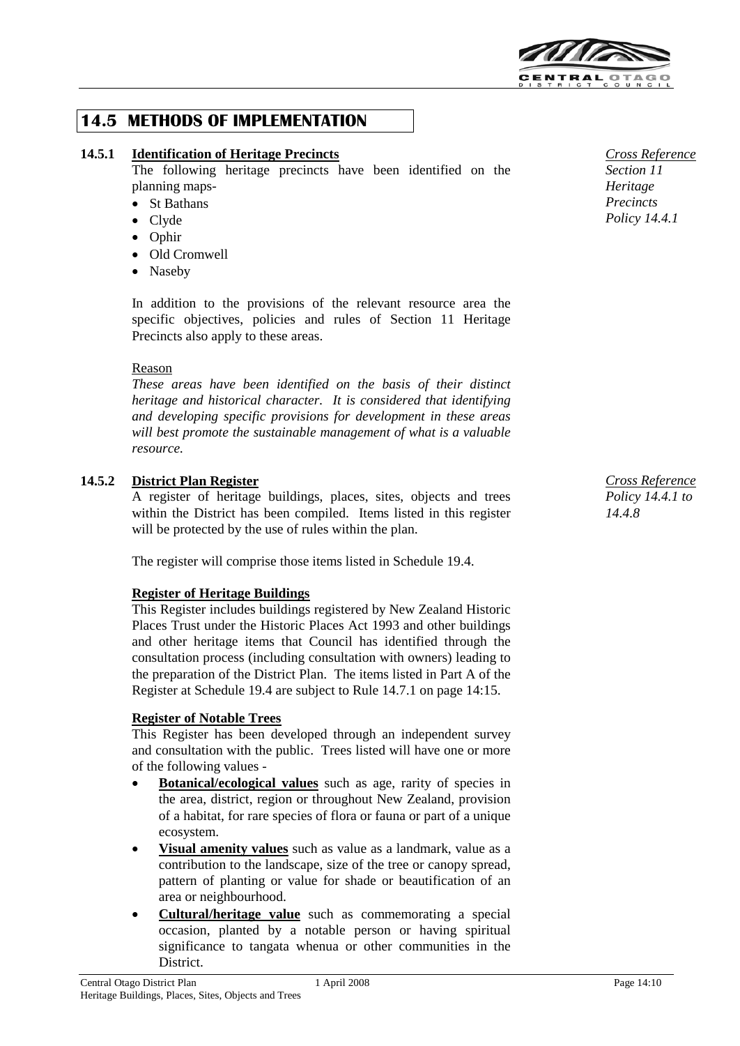

## **14.5 METHODS OF IMPLEMENTATION**

## **14.5.1 Identification of Heritage Precincts**

The following heritage precincts have been identified on the planning maps-

- St Bathans
- Clyde
- Ophir
- Old Cromwell
- Naseby

In addition to the provisions of the relevant resource area the specific objectives, policies and rules of Section 11 Heritage Precincts also apply to these areas.

### Reason

*These areas have been identified on the basis of their distinct heritage and historical character. It is considered that identifying and developing specific provisions for development in these areas will best promote the sustainable management of what is a valuable resource.*

## **14.5.2 District Plan Register**

A register of heritage buildings, places, sites, objects and trees within the District has been compiled. Items listed in this register will be protected by the use of rules within the plan.

The register will comprise those items listed in Schedule 19.4.

#### **Register of Heritage Buildings**

This Register includes buildings registered by New Zealand Historic Places Trust under the Historic Places Act 1993 and other buildings and other heritage items that Council has identified through the consultation process (including consultation with owners) leading to the preparation of the District Plan. The items listed in Part A of the Register at Schedule 19.4 are subject to Rule 14.7.1 on page 14:15.

#### **Register of Notable Trees**

This Register has been developed through an independent survey and consultation with the public. Trees listed will have one or more of the following values -

- **Botanical/ecological values** such as age, rarity of species in the area, district, region or throughout New Zealand, provision of a habitat, for rare species of flora or fauna or part of a unique ecosystem.
- **Visual amenity values** such as value as a landmark, value as a contribution to the landscape, size of the tree or canopy spread, pattern of planting or value for shade or beautification of an area or neighbourhood.
- **Cultural/heritage value** such as commemorating a special occasion, planted by a notable person or having spiritual significance to tangata whenua or other communities in the District.



*Cross Reference Policy 14.4.1 to 14.4.8*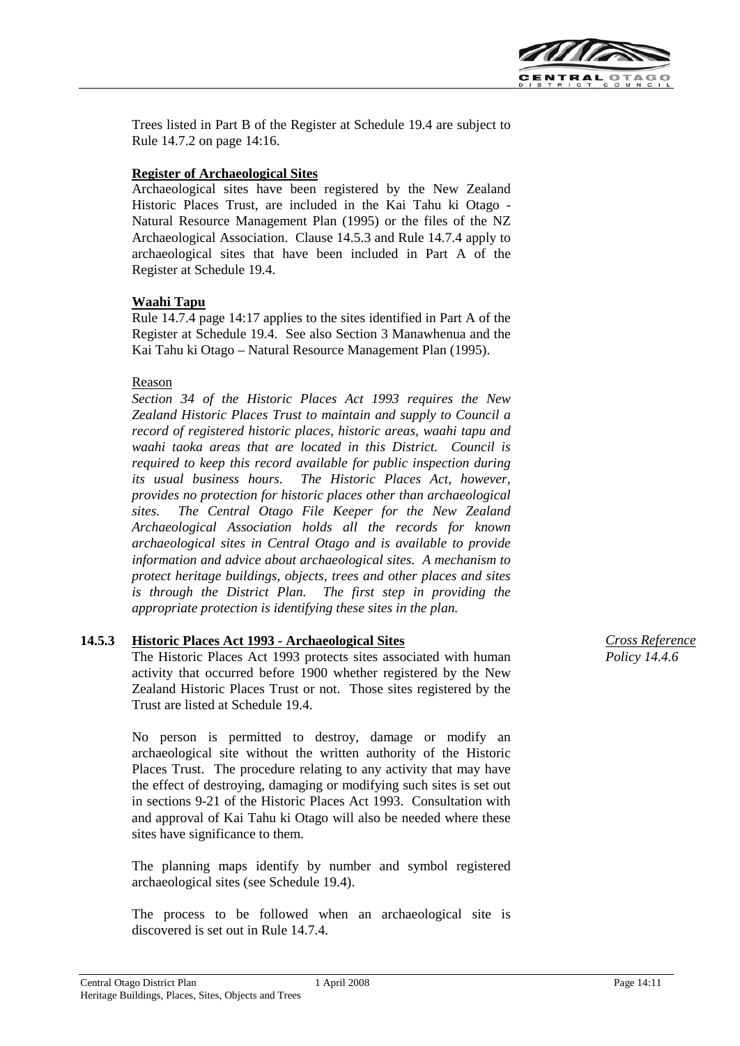

Trees listed in Part B of the Register at Schedule 19.4 are subject to Rule 14.7.2 on page 14:16.

### **Register of Archaeological Sites**

Archaeological sites have been registered by the New Zealand Historic Places Trust, are included in the Kai Tahu ki Otago - Natural Resource Management Plan (1995) or the files of the NZ Archaeological Association. Clause 14.5.3 and Rule 14.7.4 apply to archaeological sites that have been included in Part A of the Register at Schedule 19.4.

### **Waahi Tapu**

Rule 14.7.4 page 14:17 applies to the sites identified in Part A of the Register at Schedule 19.4. See also Section 3 Manawhenua and the Kai Tahu ki Otago – Natural Resource Management Plan (1995).

### Reason

*Section 34 of the Historic Places Act 1993 requires the New Zealand Historic Places Trust to maintain and supply to Council a record of registered historic places, historic areas, waahi tapu and waahi taoka areas that are located in this District. Council is required to keep this record available for public inspection during its usual business hours. The Historic Places Act, however, provides no protection for historic places other than archaeological sites. The Central Otago File Keeper for the New Zealand Archaeological Association holds all the records for known archaeological sites in Central Otago and is available to provide information and advice about archaeological sites. A mechanism to protect heritage buildings, objects, trees and other places and sites is through the District Plan. The first step in providing the appropriate protection is identifying these sites in the plan.*

## **14.5.3 Historic Places Act 1993 - Archaeological Sites**

The Historic Places Act 1993 protects sites associated with human activity that occurred before 1900 whether registered by the New Zealand Historic Places Trust or not. Those sites registered by the Trust are listed at Schedule 19.4.

No person is permitted to destroy, damage or modify an archaeological site without the written authority of the Historic Places Trust. The procedure relating to any activity that may have the effect of destroying, damaging or modifying such sites is set out in sections 9-21 of the Historic Places Act 1993. Consultation with and approval of Kai Tahu ki Otago will also be needed where these sites have significance to them.

The planning maps identify by number and symbol registered archaeological sites (see Schedule 19.4).

The process to be followed when an archaeological site is discovered is set out in Rule 14.7.4.

*Cross Reference Policy 14.4.6*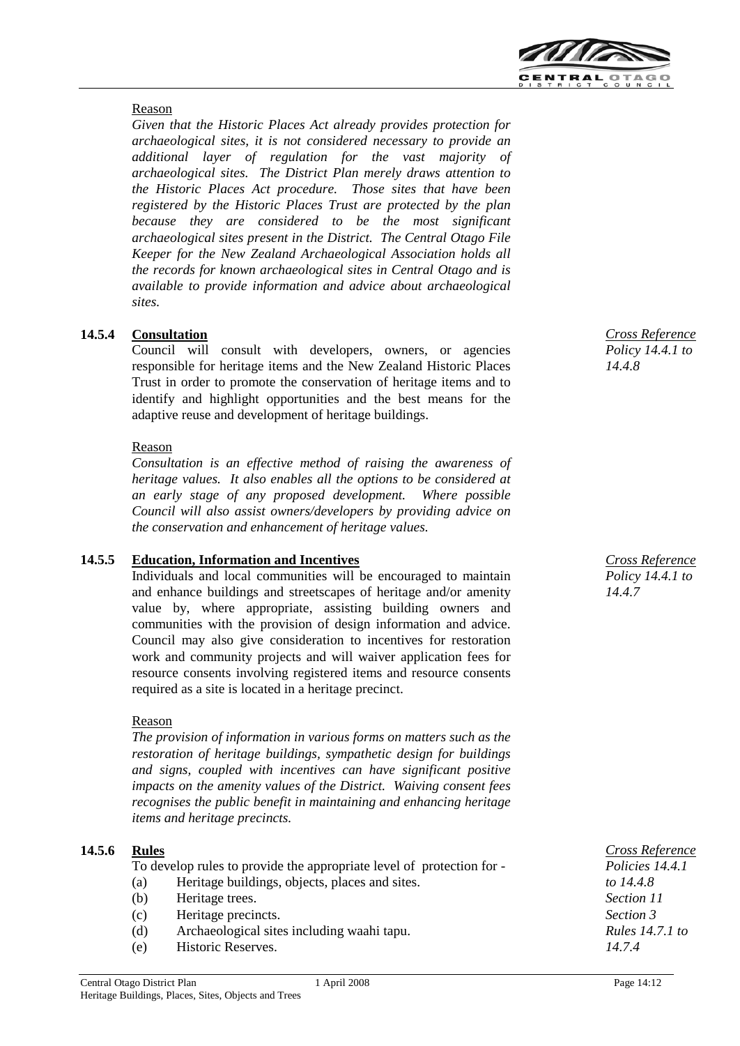

## Reason

*Given that the Historic Places Act already provides protection for archaeological sites, it is not considered necessary to provide an additional layer of regulation for the vast majority of archaeological sites. The District Plan merely draws attention to the Historic Places Act procedure. Those sites that have been registered by the Historic Places Trust are protected by the plan because they are considered to be the most significant archaeological sites present in the District. The Central Otago File Keeper for the New Zealand Archaeological Association holds all the records for known archaeological sites in Central Otago and is available to provide information and advice about archaeological sites.*

## **14.5.4 Consultation**

Council will consult with developers, owners, or agencies responsible for heritage items and the New Zealand Historic Places Trust in order to promote the conservation of heritage items and to identify and highlight opportunities and the best means for the adaptive reuse and development of heritage buildings.

## Reason

*Consultation is an effective method of raising the awareness of heritage values. It also enables all the options to be considered at an early stage of any proposed development. Where possible Council will also assist owners/developers by providing advice on the conservation and enhancement of heritage values.*

## **14.5.5 Education, Information and Incentives**

Individuals and local communities will be encouraged to maintain and enhance buildings and streetscapes of heritage and/or amenity value by, where appropriate, assisting building owners and communities with the provision of design information and advice. Council may also give consideration to incentives for restoration work and community projects and will waiver application fees for resource consents involving registered items and resource consents required as a site is located in a heritage precinct.

## Reason

*The provision of information in various forms on matters such as the restoration of heritage buildings, sympathetic design for buildings and signs, coupled with incentives can have significant positive impacts on the amenity values of the District. Waiving consent fees recognises the public benefit in maintaining and enhancing heritage items and heritage precincts.*

## **14.5.6 Rules**

To develop rules to provide the appropriate level of protection for -

- (a) Heritage buildings, objects, places and sites.
- (b) Heritage trees.
- (c) Heritage precincts.
- (d) Archaeological sites including waahi tapu.
- (e) Historic Reserves.

*Cross Reference Policy 14.4.1 to 14.4.7*

*Cross Reference Policies 14.4.1 to 14.4.8 Section 11 Section 3 Rules 14.7.1 to 14.7.4*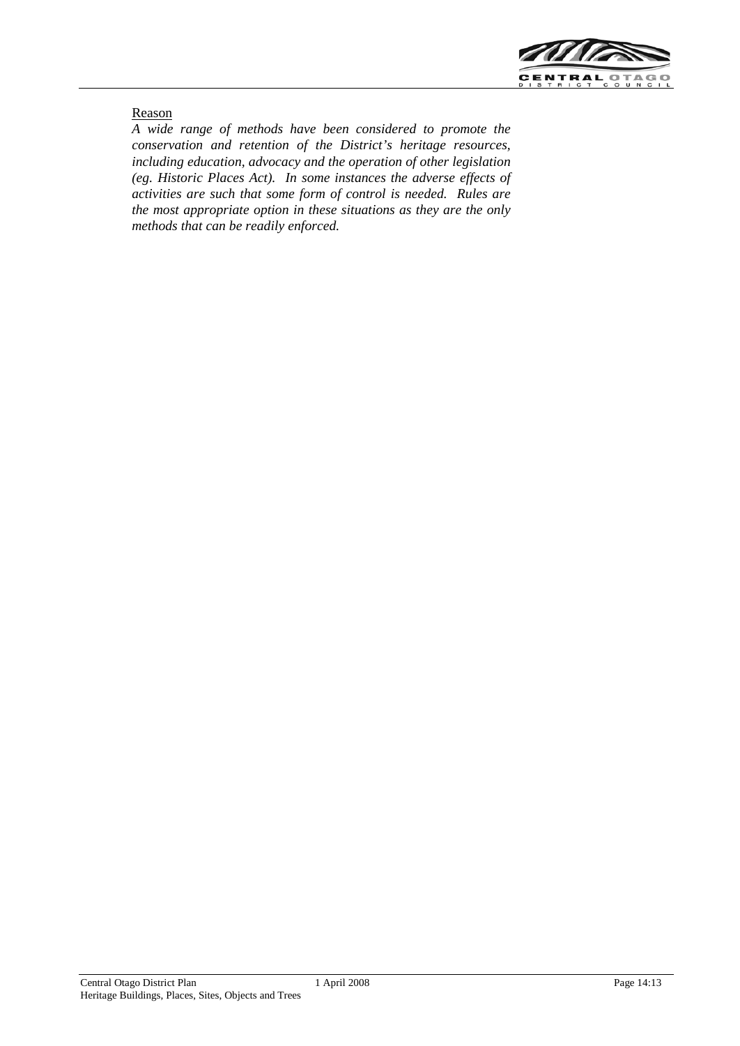

#### Reason

*A wide range of methods have been considered to promote the conservation and retention of the District's heritage resources, including education, advocacy and the operation of other legislation (eg. Historic Places Act). In some instances the adverse effects of activities are such that some form of control is needed. Rules are the most appropriate option in these situations as they are the only methods that can be readily enforced.*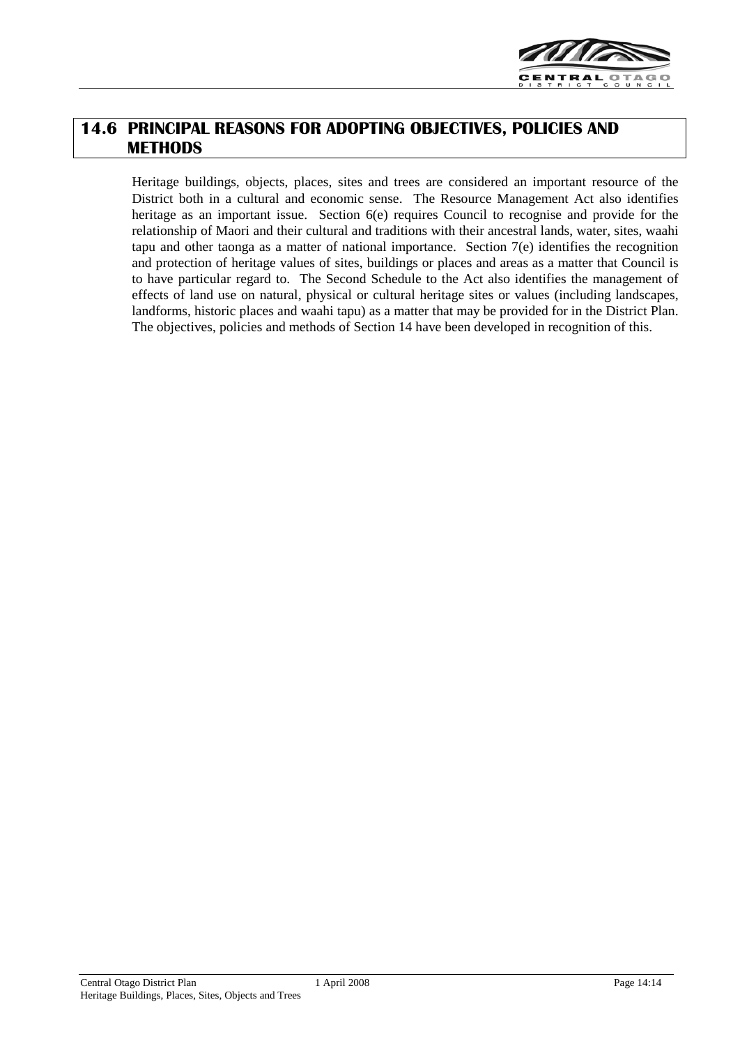

## **14.6 PRINCIPAL REASONS FOR ADOPTING OBJECTIVES, POLICIES AND METHODS**

Heritage buildings, objects, places, sites and trees are considered an important resource of the District both in a cultural and economic sense. The Resource Management Act also identifies heritage as an important issue. Section  $6(e)$  requires Council to recognise and provide for the relationship of Maori and their cultural and traditions with their ancestral lands, water, sites, waahi tapu and other taonga as a matter of national importance. Section 7(e) identifies the recognition and protection of heritage values of sites, buildings or places and areas as a matter that Council is to have particular regard to. The Second Schedule to the Act also identifies the management of effects of land use on natural, physical or cultural heritage sites or values (including landscapes, landforms, historic places and waahi tapu) as a matter that may be provided for in the District Plan. The objectives, policies and methods of Section 14 have been developed in recognition of this.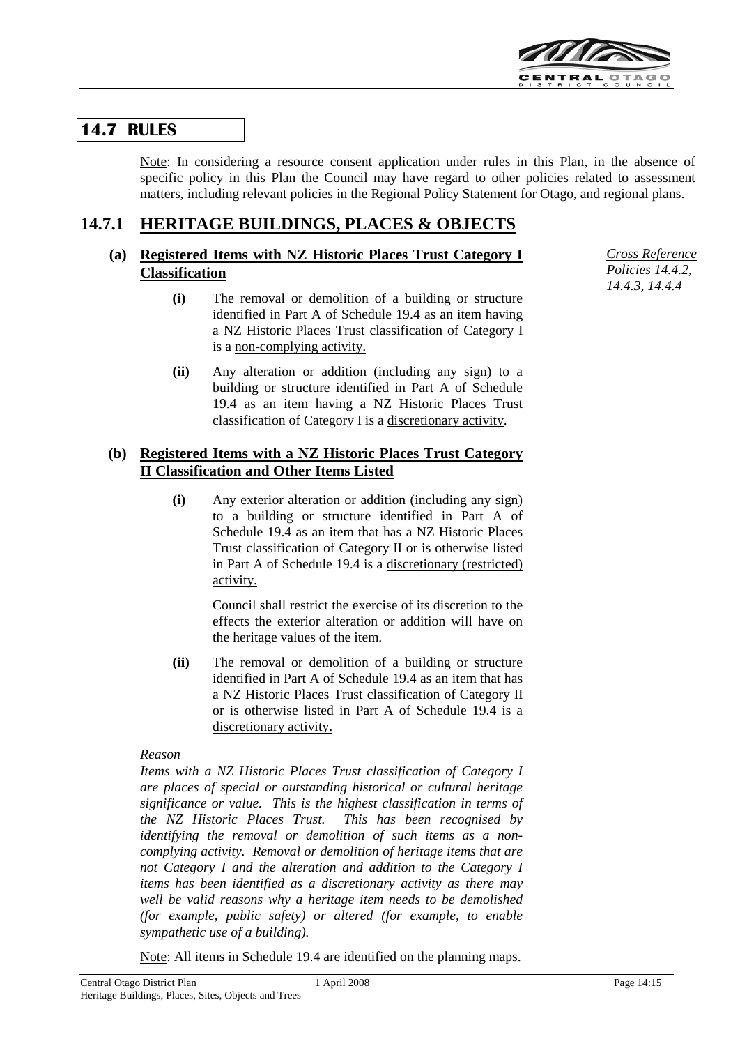

## **14.7 RULES**

Note: In considering a resource consent application under rules in this Plan, in the absence of specific policy in this Plan the Council may have regard to other policies related to assessment matters, including relevant policies in the Regional Policy Statement for Otago, and regional plans.

#### **14.7.1 HERITAGE BUILDINGS, PLACES & OBJECTS**

## **(a) Registered Items with NZ Historic Places Trust Category I Classification**

- **(i)** The removal or demolition of a building or structure identified in Part A of Schedule 19.4 as an item having a NZ Historic Places Trust classification of Category I is a non-complying activity.
- **(ii)** Any alteration or addition (including any sign) to a building or structure identified in Part A of Schedule 19.4 as an item having a NZ Historic Places Trust classification of Category I is a discretionary activity.

## **(b) Registered Items with a NZ Historic Places Trust Category II Classification and Other Items Listed**

**(i)** Any exterior alteration or addition (including any sign) to a building or structure identified in Part A of Schedule 19.4 as an item that has a NZ Historic Places Trust classification of Category II or is otherwise listed in Part A of Schedule 19.4 is a discretionary (restricted) activity.

> Council shall restrict the exercise of its discretion to the effects the exterior alteration or addition will have on the heritage values of the item.

**(ii)** The removal or demolition of a building or structure identified in Part A of Schedule 19.4 as an item that has a NZ Historic Places Trust classification of Category II or is otherwise listed in Part A of Schedule 19.4 is a discretionary activity.

## *Reason*

*Items with a NZ Historic Places Trust classification of Category I are places of special or outstanding historical or cultural heritage significance or value. This is the highest classification in terms of the NZ Historic Places Trust. This has been recognised by identifying the removal or demolition of such items as a noncomplying activity. Removal or demolition of heritage items that are not Category I and the alteration and addition to the Category I items has been identified as a discretionary activity as there may well be valid reasons why a heritage item needs to be demolished (for example, public safety) or altered (for example, to enable sympathetic use of a building).*

Note: All items in Schedule 19.4 are identified on the planning maps.

*Cross Reference Policies 14.4.2, 14.4.3, 14.4.4*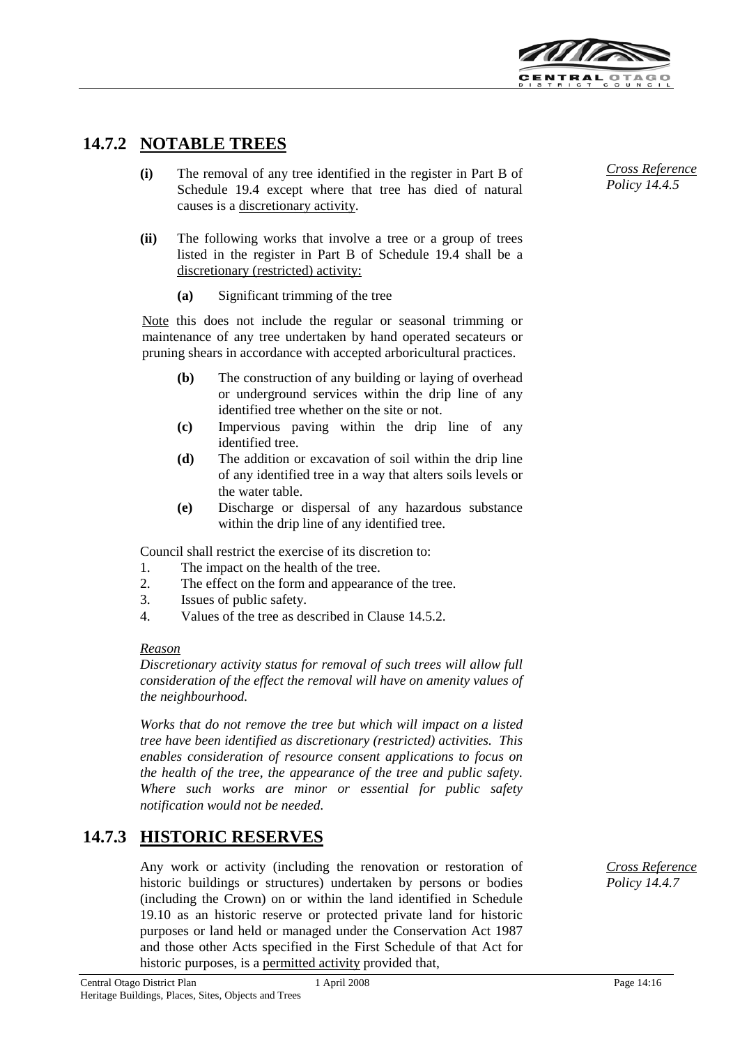

## **14.7.2 NOTABLE TREES**

- **(i)** The removal of any tree identified in the register in Part B of Schedule 19.4 except where that tree has died of natural causes is a discretionary activity.
- **(ii)** The following works that involve a tree or a group of trees listed in the register in Part B of Schedule 19.4 shall be a discretionary (restricted) activity:
	- **(a)** Significant trimming of the tree

Note this does not include the regular or seasonal trimming or maintenance of any tree undertaken by hand operated secateurs or pruning shears in accordance with accepted arboricultural practices.

- **(b)** The construction of any building or laying of overhead or underground services within the drip line of any identified tree whether on the site or not.
- **(c)** Impervious paving within the drip line of any identified tree.
- **(d)** The addition or excavation of soil within the drip line of any identified tree in a way that alters soils levels or the water table.
- **(e)** Discharge or dispersal of any hazardous substance within the drip line of any identified tree.

Council shall restrict the exercise of its discretion to:

- 1. The impact on the health of the tree.
- 2. The effect on the form and appearance of the tree.
- 3. Issues of public safety.
- 4. Values of the tree as described in Clause 14.5.2.

#### *Reason*

*Discretionary activity status for removal of such trees will allow full consideration of the effect the removal will have on amenity values of the neighbourhood.*

*Works that do not remove the tree but which will impact on a listed tree have been identified as discretionary (restricted) activities. This enables consideration of resource consent applications to focus on the health of the tree, the appearance of the tree and public safety. Where such works are minor or essential for public safety notification would not be needed.*

## **14.7.3 HISTORIC RESERVES**

Any work or activity (including the renovation or restoration of historic buildings or structures) undertaken by persons or bodies (including the Crown) on or within the land identified in Schedule 19.10 as an historic reserve or protected private land for historic purposes or land held or managed under the Conservation Act 1987 and those other Acts specified in the First Schedule of that Act for historic purposes, is a permitted activity provided that,

*Cross Reference Policy 14.4.7*

*Cross Reference Policy 14.4.5*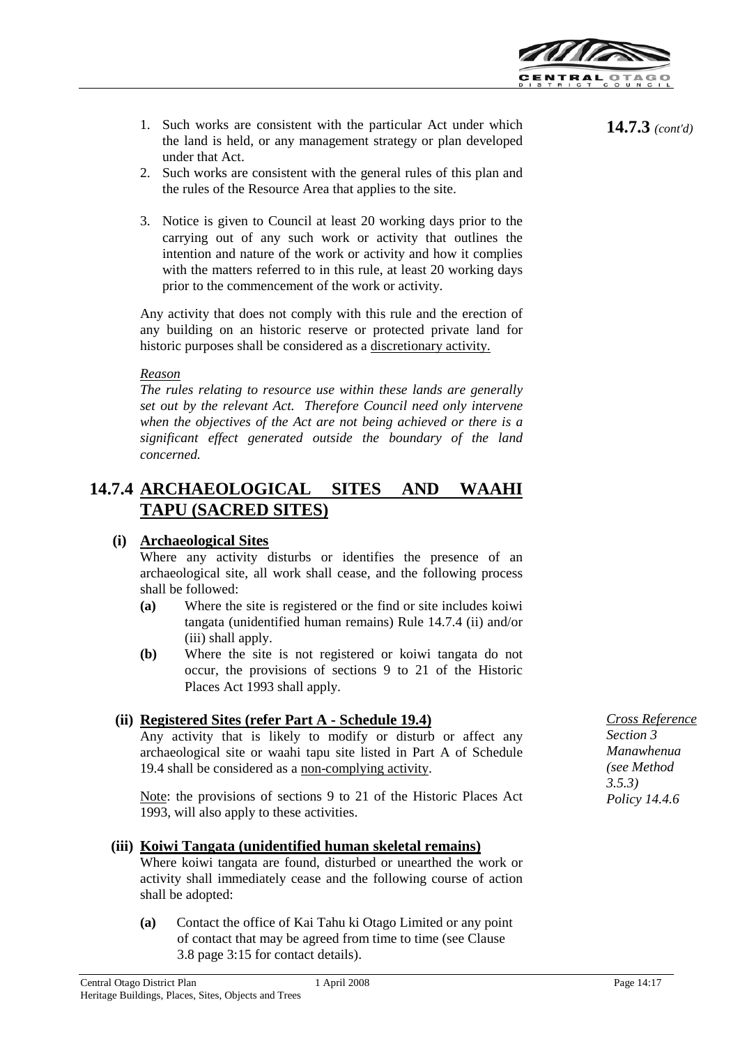

- 1. Such works are consistent with the particular Act under which the land is held, or any management strategy or plan developed under that Act.
- 2. Such works are consistent with the general rules of this plan and the rules of the Resource Area that applies to the site.
- 3. Notice is given to Council at least 20 working days prior to the carrying out of any such work or activity that outlines the intention and nature of the work or activity and how it complies with the matters referred to in this rule, at least 20 working days prior to the commencement of the work or activity.

Any activity that does not comply with this rule and the erection of any building on an historic reserve or protected private land for historic purposes shall be considered as a discretionary activity.

### *Reason*

*The rules relating to resource use within these lands are generally set out by the relevant Act. Therefore Council need only intervene when the objectives of the Act are not being achieved or there is a significant effect generated outside the boundary of the land concerned.*

## **14.7.4 ARCHAEOLOGICAL SITES AND WAAHI TAPU (SACRED SITES)**

## **(i) Archaeological Sites**

Where any activity disturbs or identifies the presence of an archaeological site, all work shall cease, and the following process shall be followed:

- **(a)** Where the site is registered or the find or site includes koiwi tangata (unidentified human remains) Rule 14.7.4 (ii) and/or (iii) shall apply.
- **(b)** Where the site is not registered or koiwi tangata do not occur, the provisions of sections 9 to 21 of the Historic Places Act 1993 shall apply.

## **(ii) Registered Sites (refer Part A - Schedule 19.4)**

Any activity that is likely to modify or disturb or affect any archaeological site or waahi tapu site listed in Part A of Schedule 19.4 shall be considered as a non-complying activity.

Note: the provisions of sections 9 to 21 of the Historic Places Act 1993, will also apply to these activities.

## **(iii) Koiwi Tangata (unidentified human skeletal remains)**

Where koiwi tangata are found, disturbed or unearthed the work or activity shall immediately cease and the following course of action shall be adopted:

**(a)** Contact the office of Kai Tahu ki Otago Limited or any point of contact that may be agreed from time to time (see Clause 3.8 page 3:15 for contact details).

**14.7.3** *(cont'd)*

*Cross Reference Section 3 Manawhenua (see Method 3.5.3) Policy 14.4.6*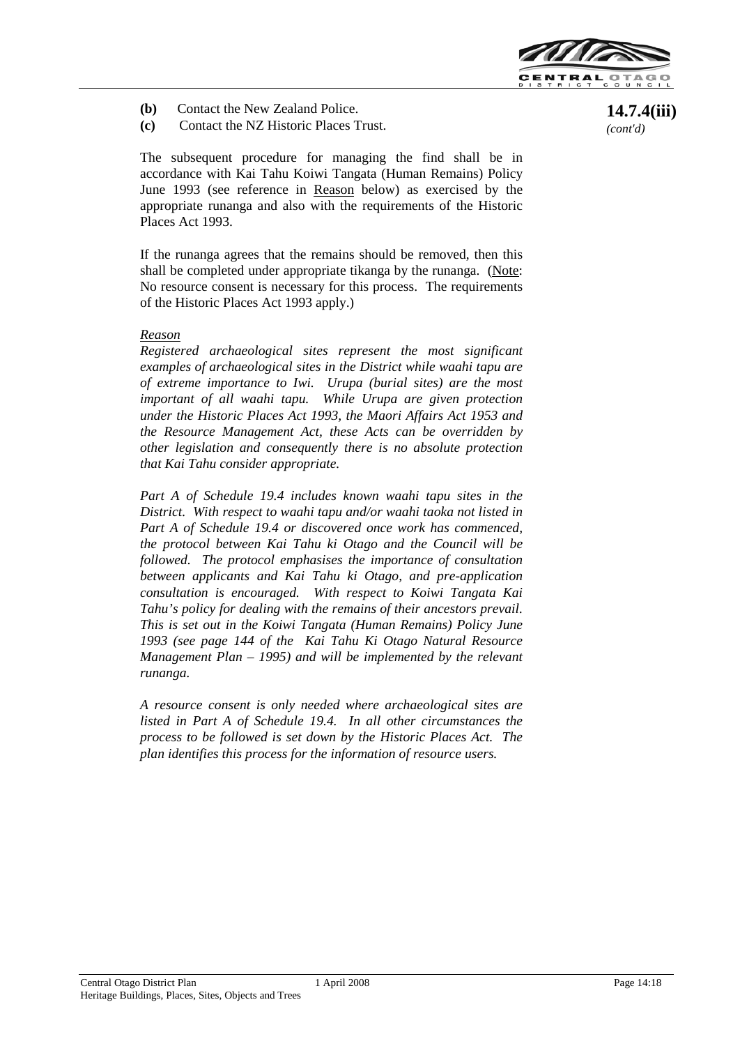

- **(b)** Contact the New Zealand Police.
- **(c)** Contact the NZ Historic Places Trust.

The subsequent procedure for managing the find shall be in accordance with Kai Tahu Koiwi Tangata (Human Remains) Policy June 1993 (see reference in Reason below) as exercised by the appropriate runanga and also with the requirements of the Historic Places Act 1993.

If the runanga agrees that the remains should be removed, then this shall be completed under appropriate tikanga by the runanga. (Note: No resource consent is necessary for this process. The requirements of the Historic Places Act 1993 apply.)

### *Reason*

*Registered archaeological sites represent the most significant examples of archaeological sites in the District while waahi tapu are of extreme importance to Iwi. Urupa (burial sites) are the most important of all waahi tapu. While Urupa are given protection under the Historic Places Act 1993, the Maori Affairs Act 1953 and the Resource Management Act, these Acts can be overridden by other legislation and consequently there is no absolute protection that Kai Tahu consider appropriate.*

*Part A of Schedule 19.4 includes known waahi tapu sites in the District. With respect to waahi tapu and/or waahi taoka not listed in Part A of Schedule 19.4 or discovered once work has commenced, the protocol between Kai Tahu ki Otago and the Council will be followed. The protocol emphasises the importance of consultation between applicants and Kai Tahu ki Otago, and pre-application consultation is encouraged. With respect to Koiwi Tangata Kai Tahu's policy for dealing with the remains of their ancestors prevail. This is set out in the Koiwi Tangata (Human Remains) Policy June 1993 (see page 144 of the Kai Tahu Ki Otago Natural Resource Management Plan – 1995) and will be implemented by the relevant runanga.*

*A resource consent is only needed where archaeological sites are listed in Part A of Schedule 19.4. In all other circumstances the process to be followed is set down by the Historic Places Act. The plan identifies this process for the information of resource users.*

**14.7.4(iii)**  *(cont'd)*